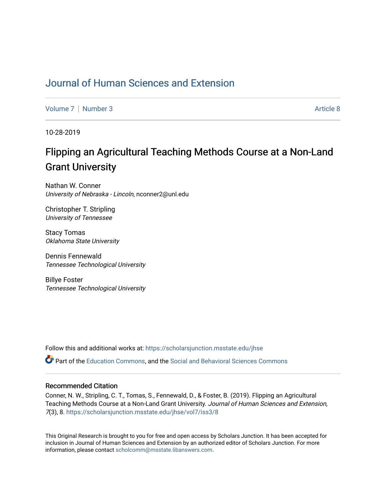# [Journal of Human Sciences and Extension](https://scholarsjunction.msstate.edu/jhse)

[Volume 7](https://scholarsjunction.msstate.edu/jhse/vol7) | [Number 3](https://scholarsjunction.msstate.edu/jhse/vol7/iss3) Article 8

10-28-2019

# Flipping an Agricultural Teaching Methods Course at a Non-Land Grant University

Nathan W. Conner University of Nebraska - Lincoln, nconner2@unl.edu

Christopher T. Stripling University of Tennessee

Stacy Tomas Oklahoma State University

Dennis Fennewald Tennessee Technological University

Billye Foster Tennessee Technological University

Follow this and additional works at: [https://scholarsjunction.msstate.edu/jhse](https://scholarsjunction.msstate.edu/jhse?utm_source=scholarsjunction.msstate.edu%2Fjhse%2Fvol7%2Fiss3%2F8&utm_medium=PDF&utm_campaign=PDFCoverPages)

Part of the [Education Commons](http://network.bepress.com/hgg/discipline/784?utm_source=scholarsjunction.msstate.edu%2Fjhse%2Fvol7%2Fiss3%2F8&utm_medium=PDF&utm_campaign=PDFCoverPages), and the [Social and Behavioral Sciences Commons](http://network.bepress.com/hgg/discipline/316?utm_source=scholarsjunction.msstate.edu%2Fjhse%2Fvol7%2Fiss3%2F8&utm_medium=PDF&utm_campaign=PDFCoverPages) 

#### Recommended Citation

Conner, N. W., Stripling, C. T., Tomas, S., Fennewald, D., & Foster, B. (2019). Flipping an Agricultural Teaching Methods Course at a Non-Land Grant University. Journal of Human Sciences and Extension, 7(3), 8. [https://scholarsjunction.msstate.edu/jhse/vol7/iss3/8](https://scholarsjunction.msstate.edu/jhse/vol7/iss3/8?utm_source=scholarsjunction.msstate.edu%2Fjhse%2Fvol7%2Fiss3%2F8&utm_medium=PDF&utm_campaign=PDFCoverPages) 

This Original Research is brought to you for free and open access by Scholars Junction. It has been accepted for inclusion in Journal of Human Sciences and Extension by an authorized editor of Scholars Junction. For more information, please contact [scholcomm@msstate.libanswers.com](mailto:scholcomm@msstate.libanswers.com).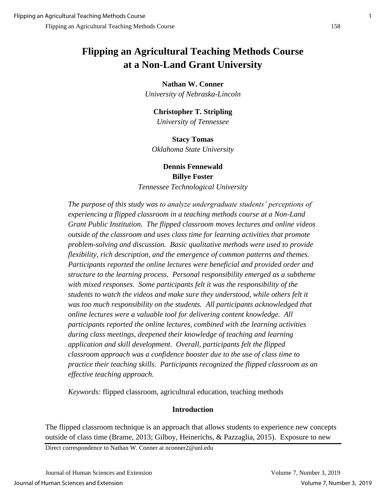# **Flipping an Agricultural Teaching Methods Course at a Non-Land Grant University**

#### **Nathan W. Conner**

*University of Nebraska-Lincoln*

#### **Christopher T. Stripling**

*University of Tennessee*

**Stacy Tomas** *Oklahoma State University*

# **Dennis Fennewald Billye Foster** *Tennessee Technological University*

*The purpose of this study was to analyze undergraduate students' perceptions of experiencing a flipped classroom in a teaching methods course at a Non-Land Grant Public Institution. The flipped classroom moves lectures and online videos outside of the classroom and uses class time for learning activities that promote problem-solving and discussion. Basic qualitative methods were used to provide flexibility, rich description, and the emergence of common patterns and themes. Participants reported the online lectures were beneficial and provided order and structure to the learning process. Personal responsibility emerged as a subtheme with mixed responses. Some participants felt it was the responsibility of the students to watch the videos and make sure they understood, while others felt it was too much responsibility on the students. All participants acknowledged that online lectures were a valuable tool for delivering content knowledge. All participants reported the online lectures, combined with the learning activities during class meetings, deepened their knowledge of teaching and learning application and skill development. Overall, participants felt the flipped classroom approach was a confidence booster due to the use of class time to practice their teaching skills. Participants recognized the flipped classroom as an effective teaching approach.*

*Keywords:* flipped classroom, agricultural education, teaching methods

#### **Introduction**

The flipped classroom technique is an approach that allows students to experience new concepts outside of class time (Brame, 2013; Gilboy, Heinerichs, & Pazzaglia, 2015). Exposure to new

Direct correspondence to Nathan W. Conner at nconner2@unl.edu

Journal of Human Sciences and Extension Volume 7, Number 3, 2019 Journal of Human Sciences and Extension Volume 7, Number 3, 2019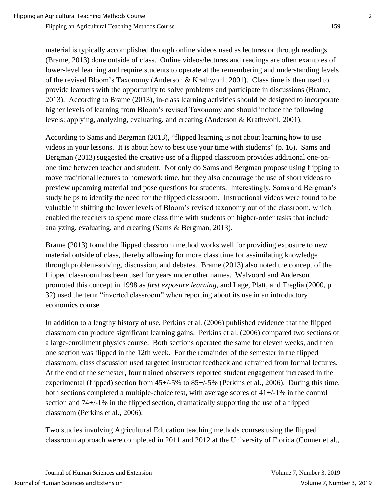material is typically accomplished through online videos used as lectures or through readings (Brame, 2013) done outside of class. Online videos/lectures and readings are often examples of lower-level learning and require students to operate at the remembering and understanding levels of the revised Bloom's Taxonomy (Anderson & Krathwohl, 2001). Class time is then used to provide learners with the opportunity to solve problems and participate in discussions (Brame, 2013). According to Brame (2013), in-class learning activities should be designed to incorporate higher levels of learning from Bloom's revised Taxonomy and should include the following levels: applying, analyzing, evaluating, and creating (Anderson & Krathwohl, 2001).

According to Sams and Bergman (2013), "flipped learning is not about learning how to use videos in your lessons. It is about how to best use your time with students" (p. 16). Sams and Bergman (2013) suggested the creative use of a flipped classroom provides additional one-onone time between teacher and student. Not only do Sams and Bergman propose using flipping to move traditional lectures to homework time, but they also encourage the use of short videos to preview upcoming material and pose questions for students. Interestingly, Sams and Bergman's study helps to identify the need for the flipped classroom. Instructional videos were found to be valuable in shifting the lower levels of Bloom's revised taxonomy out of the classroom, which enabled the teachers to spend more class time with students on higher-order tasks that include analyzing, evaluating, and creating (Sams & Bergman, 2013).

Brame (2013) found the flipped classroom method works well for providing exposure to new material outside of class, thereby allowing for more class time for assimilating knowledge through problem-solving, discussion, and debates. Brame (2013) also noted the concept of the flipped classroom has been used for years under other names. Walvoord and Anderson promoted this concept in 1998 as *first exposure learning*, and Lage, Platt, and Treglia (2000, p. 32) used the term "inverted classroom" when reporting about its use in an introductory economics course.

In addition to a lengthy history of use, Perkins et al. (2006) published evidence that the flipped classroom can produce significant learning gains. Perkins et al. (2006) compared two sections of a large-enrollment physics course. Both sections operated the same for eleven weeks, and then one section was flipped in the 12th week. For the remainder of the semester in the flipped classroom, class discussion used targeted instructor feedback and refrained from formal lectures. At the end of the semester, four trained observers reported student engagement increased in the experimental (flipped) section from  $45+/5\%$  to  $85+/5\%$  (Perkins et al., 2006). During this time, both sections completed a multiple-choice test, with average scores of  $41+/-1\%$  in the control section and 74+/-1% in the flipped section, dramatically supporting the use of a flipped classroom (Perkins et al., 2006).

Two studies involving Agricultural Education teaching methods courses using the flipped classroom approach were completed in 2011 and 2012 at the University of Florida (Conner et al.,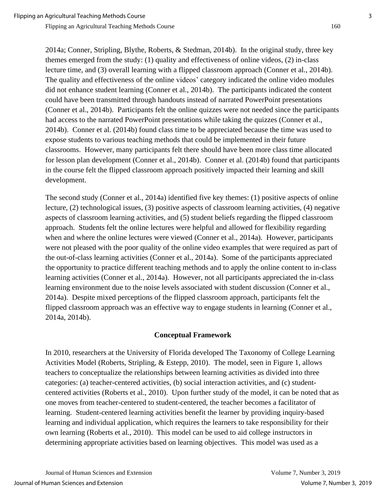Flipping an Agricultural Teaching Methods Course 160

2014a; Conner, Stripling, Blythe, Roberts, & Stedman, 2014b). In the original study, three key themes emerged from the study: (1) quality and effectiveness of online videos, (2) in-class lecture time, and (3) overall learning with a flipped classroom approach (Conner et al., 2014b). The quality and effectiveness of the online videos' category indicated the online video modules did not enhance student learning (Conner et al., 2014b). The participants indicated the content could have been transmitted through handouts instead of narrated PowerPoint presentations (Conner et al., 2014b). Participants felt the online quizzes were not needed since the participants had access to the narrated PowerPoint presentations while taking the quizzes (Conner et al., 2014b). Conner et al. (2014b) found class time to be appreciated because the time was used to expose students to various teaching methods that could be implemented in their future classrooms. However, many participants felt there should have been more class time allocated for lesson plan development (Conner et al., 2014b). Conner et al. (2014b) found that participants in the course felt the flipped classroom approach positively impacted their learning and skill development.

The second study (Conner et al., 2014a) identified five key themes: (1) positive aspects of online lecture, (2) technological issues, (3) positive aspects of classroom learning activities, (4) negative aspects of classroom learning activities, and (5) student beliefs regarding the flipped classroom approach. Students felt the online lectures were helpful and allowed for flexibility regarding when and where the online lectures were viewed (Conner et al., 2014a). However, participants were not pleased with the poor quality of the online video examples that were required as part of the out-of-class learning activities (Conner et al., 2014a). Some of the participants appreciated the opportunity to practice different teaching methods and to apply the online content to in-class learning activities (Conner et al., 2014a). However, not all participants appreciated the in-class learning environment due to the noise levels associated with student discussion (Conner et al., 2014a). Despite mixed perceptions of the flipped classroom approach, participants felt the flipped classroom approach was an effective way to engage students in learning (Conner et al., 2014a, 2014b).

#### **Conceptual Framework**

In 2010, researchers at the University of Florida developed The Taxonomy of College Learning Activities Model (Roberts, Stripling, & Estepp, 2010). The model, seen in Figure 1, allows teachers to conceptualize the relationships between learning activities as divided into three categories: (a) teacher-centered activities, (b) social interaction activities, and (c) studentcentered activities (Roberts et al., 2010). Upon further study of the model, it can be noted that as one moves from teacher-centered to student-centered, the teacher becomes a facilitator of learning. Student-centered learning activities benefit the learner by providing inquiry-based learning and individual application, which requires the learners to take responsibility for their own learning (Roberts et al., 2010). This model can be used to aid college instructors in determining appropriate activities based on learning objectives. This model was used as a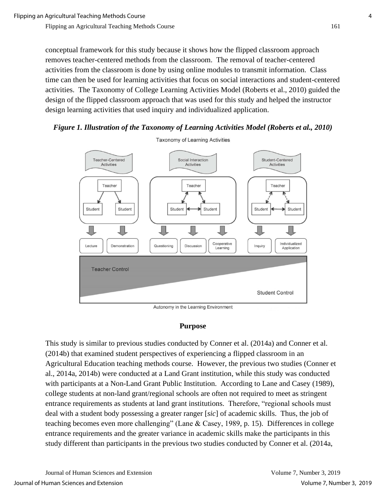conceptual framework for this study because it shows how the flipped classroom approach removes teacher-centered methods from the classroom. The removal of teacher-centered activities from the classroom is done by using online modules to transmit information. Class time can then be used for learning activities that focus on social interactions and student-centered activities. The Taxonomy of College Learning Activities Model (Roberts et al., 2010) guided the design of the flipped classroom approach that was used for this study and helped the instructor design learning activities that used inquiry and individualized application.

#### *Figure 1. Illustration of the Taxonomy of Learning Activities Model (Roberts et al., 2010)*



**Taxonomy of Learning Activities** 

Autonomy in the Learning Environment

#### **Purpose**

This study is similar to previous studies conducted by Conner et al. (2014a) and Conner et al. (2014b) that examined student perspectives of experiencing a flipped classroom in an Agricultural Education teaching methods course. However, the previous two studies (Conner et al., 2014a, 2014b) were conducted at a Land Grant institution, while this study was conducted with participants at a Non-Land Grant Public Institution. According to Lane and Casey (1989), college students at non-land grant/regional schools are often not required to meet as stringent entrance requirements as students at land grant institutions. Therefore, "regional schools must deal with a student body possessing a greater ranger [*sic*] of academic skills. Thus, the job of teaching becomes even more challenging" (Lane & Casey, 1989, p. 15). Differences in college entrance requirements and the greater variance in academic skills make the participants in this study different than participants in the previous two studies conducted by Conner et al. (2014a,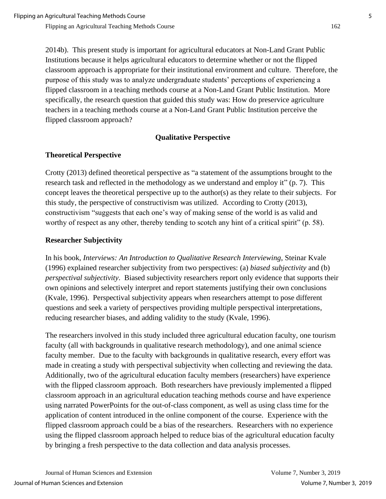2014b). This present study is important for agricultural educators at Non-Land Grant Public Institutions because it helps agricultural educators to determine whether or not the flipped classroom approach is appropriate for their institutional environment and culture. Therefore, the purpose of this study was to analyze undergraduate students' perceptions of experiencing a flipped classroom in a teaching methods course at a Non-Land Grant Public Institution. More specifically, the research question that guided this study was: How do preservice agriculture teachers in a teaching methods course at a Non-Land Grant Public Institution perceive the flipped classroom approach?

# **Qualitative Perspective**

# **Theoretical Perspective**

Crotty (2013) defined theoretical perspective as "a statement of the assumptions brought to the research task and reflected in the methodology as we understand and employ it" (p. 7). This concept leaves the theoretical perspective up to the author(s) as they relate to their subjects. For this study, the perspective of constructivism was utilized. According to Crotty (2013), constructivism "suggests that each one's way of making sense of the world is as valid and worthy of respect as any other, thereby tending to scotch any hint of a critical spirit" (p. 58).

# **Researcher Subjectivity**

In his book, *Interviews: An Introduction to Qualitative Research Interviewing*, Steinar Kvale (1996) explained researcher subjectivity from two perspectives: (a) *biased subjectivity* and (b) *perspectival subjectivity*. Biased subjectivity researchers report only evidence that supports their own opinions and selectively interpret and report statements justifying their own conclusions (Kvale, 1996). Perspectival subjectivity appears when researchers attempt to pose different questions and seek a variety of perspectives providing multiple perspectival interpretations, reducing researcher biases, and adding validity to the study (Kvale, 1996).

The researchers involved in this study included three agricultural education faculty, one tourism faculty (all with backgrounds in qualitative research methodology), and one animal science faculty member. Due to the faculty with backgrounds in qualitative research, every effort was made in creating a study with perspectival subjectivity when collecting and reviewing the data. Additionally, two of the agricultural education faculty members (researchers) have experience with the flipped classroom approach. Both researchers have previously implemented a flipped classroom approach in an agricultural education teaching methods course and have experience using narrated PowerPoints for the out-of-class component, as well as using class time for the application of content introduced in the online component of the course. Experience with the flipped classroom approach could be a bias of the researchers. Researchers with no experience using the flipped classroom approach helped to reduce bias of the agricultural education faculty by bringing a fresh perspective to the data collection and data analysis processes.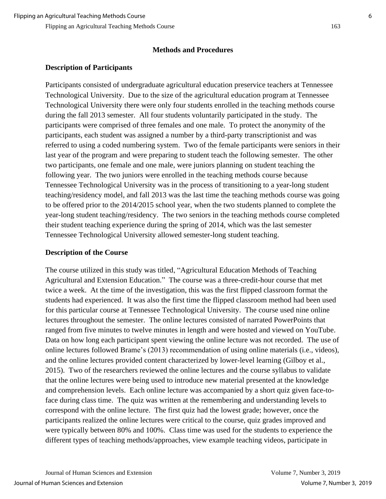#### **Methods and Procedures**

## **Description of Participants**

Participants consisted of undergraduate agricultural education preservice teachers at Tennessee Technological University. Due to the size of the agricultural education program at Tennessee Technological University there were only four students enrolled in the teaching methods course during the fall 2013 semester. All four students voluntarily participated in the study. The participants were comprised of three females and one male. To protect the anonymity of the participants, each student was assigned a number by a third-party transcriptionist and was referred to using a coded numbering system. Two of the female participants were seniors in their last year of the program and were preparing to student teach the following semester. The other two participants, one female and one male, were juniors planning on student teaching the following year. The two juniors were enrolled in the teaching methods course because Tennessee Technological University was in the process of transitioning to a year-long student teaching/residency model, and fall 2013 was the last time the teaching methods course was going to be offered prior to the 2014/2015 school year, when the two students planned to complete the year-long student teaching/residency. The two seniors in the teaching methods course completed their student teaching experience during the spring of 2014, which was the last semester Tennessee Technological University allowed semester-long student teaching.

### **Description of the Course**

The course utilized in this study was titled, "Agricultural Education Methods of Teaching Agricultural and Extension Education." The course was a three-credit-hour course that met twice a week. At the time of the investigation, this was the first flipped classroom format the students had experienced. It was also the first time the flipped classroom method had been used for this particular course at Tennessee Technological University. The course used nine online lectures throughout the semester. The online lectures consisted of narrated PowerPoints that ranged from five minutes to twelve minutes in length and were hosted and viewed on YouTube. Data on how long each participant spent viewing the online lecture was not recorded. The use of online lectures followed Brame's (2013) recommendation of using online materials (i.e., videos), and the online lectures provided content characterized by lower-level learning (Gilboy et al., 2015). Two of the researchers reviewed the online lectures and the course syllabus to validate that the online lectures were being used to introduce new material presented at the knowledge and comprehension levels. Each online lecture was accompanied by a short quiz given face-toface during class time. The quiz was written at the remembering and understanding levels to correspond with the online lecture. The first quiz had the lowest grade; however, once the participants realized the online lectures were critical to the course, quiz grades improved and were typically between 80% and 100%. Class time was used for the students to experience the different types of teaching methods/approaches, view example teaching videos, participate in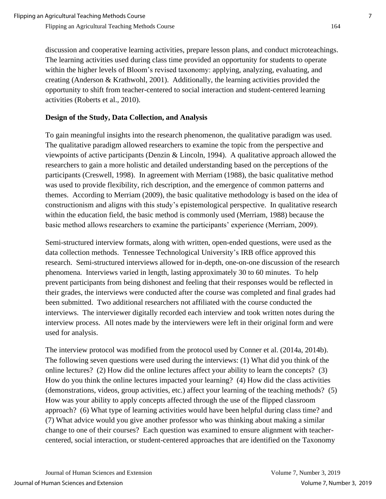discussion and cooperative learning activities, prepare lesson plans, and conduct microteachings. The learning activities used during class time provided an opportunity for students to operate within the higher levels of Bloom's revised taxonomy: applying, analyzing, evaluating, and creating (Anderson & Krathwohl, 2001). Additionally, the learning activities provided the opportunity to shift from teacher-centered to social interaction and student-centered learning activities (Roberts et al., 2010).

# **Design of the Study, Data Collection, and Analysis**

To gain meaningful insights into the research phenomenon, the qualitative paradigm was used. The qualitative paradigm allowed researchers to examine the topic from the perspective and viewpoints of active participants (Denzin & Lincoln, 1994). A qualitative approach allowed the researchers to gain a more holistic and detailed understanding based on the perceptions of the participants (Creswell, 1998). In agreement with Merriam (1988), the basic qualitative method was used to provide flexibility, rich description, and the emergence of common patterns and themes. According to Merriam (2009), the basic qualitative methodology is based on the idea of constructionism and aligns with this study's epistemological perspective. In qualitative research within the education field, the basic method is commonly used (Merriam, 1988) because the basic method allows researchers to examine the participants' experience (Merriam, 2009).

Semi-structured interview formats, along with written, open-ended questions, were used as the data collection methods. Tennessee Technological University's IRB office approved this research. Semi-structured interviews allowed for in-depth, one-on-one discussion of the research phenomena. Interviews varied in length, lasting approximately 30 to 60 minutes. To help prevent participants from being dishonest and feeling that their responses would be reflected in their grades, the interviews were conducted after the course was completed and final grades had been submitted. Two additional researchers not affiliated with the course conducted the interviews. The interviewer digitally recorded each interview and took written notes during the interview process. All notes made by the interviewers were left in their original form and were used for analysis.

The interview protocol was modified from the protocol used by Conner et al. (2014a, 2014b). The following seven questions were used during the interviews: (1) What did you think of the online lectures? (2) How did the online lectures affect your ability to learn the concepts? (3) How do you think the online lectures impacted your learning? (4) How did the class activities (demonstrations, videos, group activities, etc.) affect your learning of the teaching methods? (5) How was your ability to apply concepts affected through the use of the flipped classroom approach? (6) What type of learning activities would have been helpful during class time? and (7) What advice would you give another professor who was thinking about making a similar change to one of their courses? Each question was examined to ensure alignment with teachercentered, social interaction, or student-centered approaches that are identified on the Taxonomy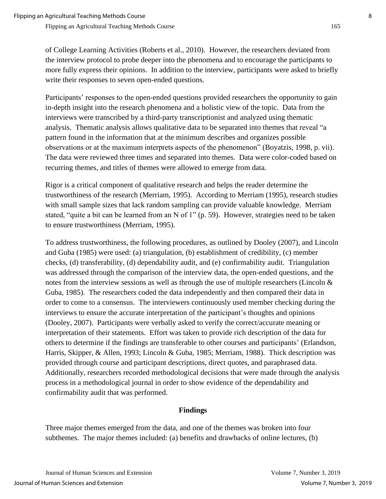of College Learning Activities (Roberts et al., 2010). However, the researchers deviated from the interview protocol to probe deeper into the phenomena and to encourage the participants to more fully express their opinions. In addition to the interview, participants were asked to briefly write their responses to seven open-ended questions.

Participants' responses to the open-ended questions provided researchers the opportunity to gain in-depth insight into the research phenomena and a holistic view of the topic. Data from the interviews were transcribed by a third-party transcriptionist and analyzed using thematic analysis. Thematic analysis allows qualitative data to be separated into themes that reveal "a pattern found in the information that at the minimum describes and organizes possible observations or at the maximum interprets aspects of the phenomenon" (Boyatzis, 1998, p. vii). The data were reviewed three times and separated into themes. Data were color-coded based on recurring themes, and titles of themes were allowed to emerge from data.

Rigor is a critical component of qualitative research and helps the reader determine the trustworthiness of the research (Merriam, 1995). According to Merriam (1995), research studies with small sample sizes that lack random sampling can provide valuable knowledge. Merriam stated, "quite a bit can be learned from an N of 1" (p. 59). However, strategies need to be taken to ensure trustworthiness (Merriam, 1995).

To address trustworthiness, the following procedures, as outlined by Dooley (2007), and Lincoln and Guba (1985) were used: (a) triangulation, (b) establishment of credibility, (c) member checks, (d) transferability, (d) dependability audit, and (e) confirmability audit. Triangulation was addressed through the comparison of the interview data, the open-ended questions, and the notes from the interview sessions as well as through the use of multiple researchers (Lincoln & Guba, 1985). The researchers coded the data independently and then compared their data in order to come to a consensus. The interviewers continuously used member checking during the interviews to ensure the accurate interpretation of the participant's thoughts and opinions (Dooley, 2007). Participants were verbally asked to verify the correct/accurate meaning or interpretation of their statements. Effort was taken to provide rich description of the data for others to determine if the findings are transferable to other courses and participants' (Erlandson, Harris, Skipper, & Allen, 1993; Lincoln & Guba, 1985; Merriam, 1988). Thick description was provided through course and participant descriptions, direct quotes, and paraphrased data. Additionally, researchers recorded methodological decisions that were made through the analysis process in a methodological journal in order to show evidence of the dependability and confirmability audit that was performed.

### **Findings**

Three major themes emerged from the data, and one of the themes was broken into four subthemes. The major themes included: (a) benefits and drawbacks of online lectures, (b)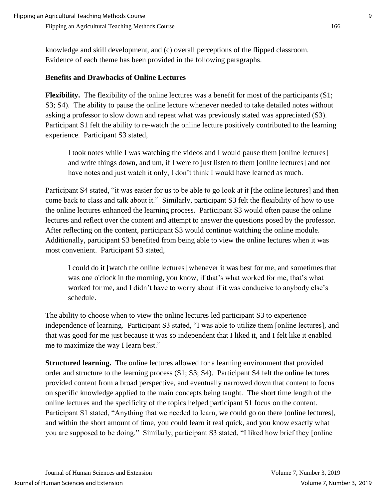knowledge and skill development, and (c) overall perceptions of the flipped classroom. Evidence of each theme has been provided in the following paragraphs.

# **Benefits and Drawbacks of Online Lectures**

**Flexibility.** The flexibility of the online lectures was a benefit for most of the participants (S1; S3; S4). The ability to pause the online lecture whenever needed to take detailed notes without asking a professor to slow down and repeat what was previously stated was appreciated (S3). Participant S1 felt the ability to re-watch the online lecture positively contributed to the learning experience. Participant S3 stated,

I took notes while I was watching the videos and I would pause them [online lectures] and write things down, and um, if I were to just listen to them [online lectures] and not have notes and just watch it only, I don't think I would have learned as much.

Participant S4 stated, "it was easier for us to be able to go look at it [the online lectures] and then come back to class and talk about it." Similarly, participant S3 felt the flexibility of how to use the online lectures enhanced the learning process. Participant S3 would often pause the online lectures and reflect over the content and attempt to answer the questions posed by the professor. After reflecting on the content, participant S3 would continue watching the online module. Additionally, participant S3 benefited from being able to view the online lectures when it was most convenient. Participant S3 stated,

I could do it [watch the online lectures] whenever it was best for me, and sometimes that was one o'clock in the morning, you know, if that's what worked for me, that's what worked for me, and I didn't have to worry about if it was conducive to anybody else's schedule.

The ability to choose when to view the online lectures led participant S3 to experience independence of learning. Participant S3 stated, "I was able to utilize them [online lectures], and that was good for me just because it was so independent that I liked it, and I felt like it enabled me to maximize the way I learn best."

**Structured learning.** The online lectures allowed for a learning environment that provided order and structure to the learning process (S1; S3; S4). Participant S4 felt the online lectures provided content from a broad perspective, and eventually narrowed down that content to focus on specific knowledge applied to the main concepts being taught. The short time length of the online lectures and the specificity of the topics helped participant S1 focus on the content. Participant S1 stated, "Anything that we needed to learn, we could go on there [online lectures], and within the short amount of time, you could learn it real quick, and you know exactly what you are supposed to be doing." Similarly, participant S3 stated, "I liked how brief they [online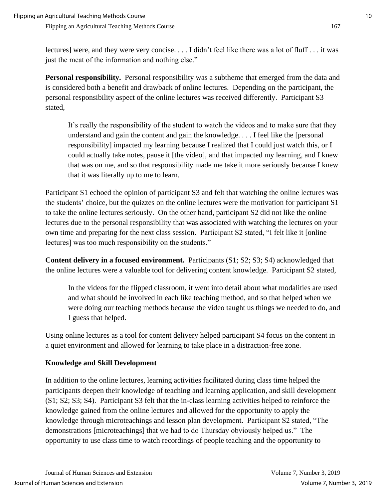lectures] were, and they were very concise. . . . I didn't feel like there was a lot of fluff . . . it was just the meat of the information and nothing else."

**Personal responsibility.** Personal responsibility was a subtheme that emerged from the data and is considered both a benefit and drawback of online lectures. Depending on the participant, the personal responsibility aspect of the online lectures was received differently. Participant S3 stated,

It's really the responsibility of the student to watch the videos and to make sure that they understand and gain the content and gain the knowledge. . . . I feel like the [personal responsibility] impacted my learning because I realized that I could just watch this, or I could actually take notes, pause it [the video], and that impacted my learning, and I knew that was on me, and so that responsibility made me take it more seriously because I knew that it was literally up to me to learn.

Participant S1 echoed the opinion of participant S3 and felt that watching the online lectures was the students' choice, but the quizzes on the online lectures were the motivation for participant S1 to take the online lectures seriously. On the other hand, participant S2 did not like the online lectures due to the personal responsibility that was associated with watching the lectures on your own time and preparing for the next class session. Participant S2 stated, "I felt like it [online lectures] was too much responsibility on the students."

**Content delivery in a focused environment.** Participants (S1; S2; S3; S4) acknowledged that the online lectures were a valuable tool for delivering content knowledge. Participant S2 stated,

In the videos for the flipped classroom, it went into detail about what modalities are used and what should be involved in each like teaching method, and so that helped when we were doing our teaching methods because the video taught us things we needed to do, and I guess that helped.

Using online lectures as a tool for content delivery helped participant S4 focus on the content in a quiet environment and allowed for learning to take place in a distraction-free zone.

# **Knowledge and Skill Development**

In addition to the online lectures, learning activities facilitated during class time helped the participants deepen their knowledge of teaching and learning application, and skill development (S1; S2; S3; S4). Participant S3 felt that the in-class learning activities helped to reinforce the knowledge gained from the online lectures and allowed for the opportunity to apply the knowledge through microteachings and lesson plan development. Participant S2 stated, "The demonstrations [microteachings] that we had to do Thursday obviously helped us." The opportunity to use class time to watch recordings of people teaching and the opportunity to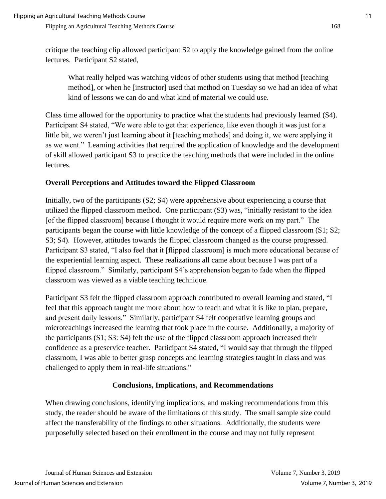critique the teaching clip allowed participant S2 to apply the knowledge gained from the online lectures. Participant S2 stated,

What really helped was watching videos of other students using that method [teaching method], or when he [instructor] used that method on Tuesday so we had an idea of what kind of lessons we can do and what kind of material we could use.

Class time allowed for the opportunity to practice what the students had previously learned (S4). Participant S4 stated, "We were able to get that experience, like even though it was just for a little bit, we weren't just learning about it [teaching methods] and doing it, we were applying it as we went." Learning activities that required the application of knowledge and the development of skill allowed participant S3 to practice the teaching methods that were included in the online lectures.

# **Overall Perceptions and Attitudes toward the Flipped Classroom**

Initially, two of the participants (S2; S4) were apprehensive about experiencing a course that utilized the flipped classroom method. One participant (S3) was, "initially resistant to the idea [of the flipped classroom] because I thought it would require more work on my part." The participants began the course with little knowledge of the concept of a flipped classroom (S1; S2; S3; S4). However, attitudes towards the flipped classroom changed as the course progressed. Participant S3 stated, "I also feel that it [flipped classroom] is much more educational because of the experiential learning aspect. These realizations all came about because I was part of a flipped classroom." Similarly, participant S4's apprehension began to fade when the flipped classroom was viewed as a viable teaching technique.

Participant S3 felt the flipped classroom approach contributed to overall learning and stated, "I feel that this approach taught me more about how to teach and what it is like to plan, prepare, and present daily lessons." Similarly, participant S4 felt cooperative learning groups and microteachings increased the learning that took place in the course. Additionally, a majority of the participants (S1; S3: S4) felt the use of the flipped classroom approach increased their confidence as a preservice teacher. Participant S4 stated, "I would say that through the flipped classroom, I was able to better grasp concepts and learning strategies taught in class and was challenged to apply them in real-life situations."

### **Conclusions, Implications, and Recommendations**

When drawing conclusions, identifying implications, and making recommendations from this study, the reader should be aware of the limitations of this study. The small sample size could affect the transferability of the findings to other situations. Additionally, the students were purposefully selected based on their enrollment in the course and may not fully represent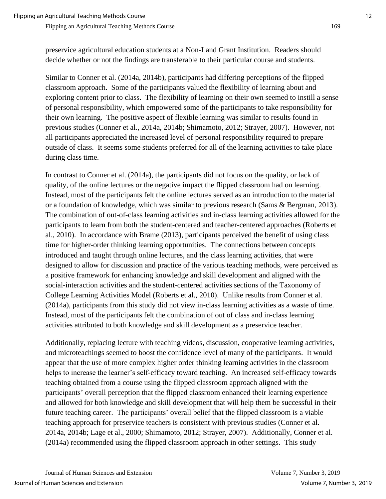preservice agricultural education students at a Non-Land Grant Institution. Readers should decide whether or not the findings are transferable to their particular course and students.

Similar to Conner et al. (2014a, 2014b), participants had differing perceptions of the flipped classroom approach. Some of the participants valued the flexibility of learning about and exploring content prior to class. The flexibility of learning on their own seemed to instill a sense of personal responsibility, which empowered some of the participants to take responsibility for their own learning. The positive aspect of flexible learning was similar to results found in previous studies (Conner et al., 2014a, 2014b; Shimamoto, 2012; Strayer, 2007). However, not all participants appreciated the increased level of personal responsibility required to prepare outside of class. It seems some students preferred for all of the learning activities to take place during class time.

In contrast to Conner et al. (2014a), the participants did not focus on the quality, or lack of quality, of the online lectures or the negative impact the flipped classroom had on learning. Instead, most of the participants felt the online lectures served as an introduction to the material or a foundation of knowledge, which was similar to previous research (Sams & Bergman, 2013). The combination of out-of-class learning activities and in-class learning activities allowed for the participants to learn from both the student-centered and teacher-centered approaches (Roberts et al., 2010). In accordance with Brame (2013), participants perceived the benefit of using class time for higher-order thinking learning opportunities. The connections between concepts introduced and taught through online lectures, and the class learning activities, that were designed to allow for discussion and practice of the various teaching methods, were perceived as a positive framework for enhancing knowledge and skill development and aligned with the social-interaction activities and the student-centered activities sections of the Taxonomy of College Learning Activities Model (Roberts et al., 2010). Unlike results from Conner et al. (2014a), participants from this study did not view in-class learning activities as a waste of time. Instead, most of the participants felt the combination of out of class and in-class learning activities attributed to both knowledge and skill development as a preservice teacher.

Additionally, replacing lecture with teaching videos, discussion, cooperative learning activities, and microteachings seemed to boost the confidence level of many of the participants. It would appear that the use of more complex higher order thinking learning activities in the classroom helps to increase the learner's self-efficacy toward teaching. An increased self-efficacy towards teaching obtained from a course using the flipped classroom approach aligned with the participants' overall perception that the flipped classroom enhanced their learning experience and allowed for both knowledge and skill development that will help them be successful in their future teaching career. The participants' overall belief that the flipped classroom is a viable teaching approach for preservice teachers is consistent with previous studies (Conner et al. 2014a, 2014b; Lage et al., 2000; Shimamoto, 2012; Strayer, 2007). Additionally, Conner et al. (2014a) recommended using the flipped classroom approach in other settings. This study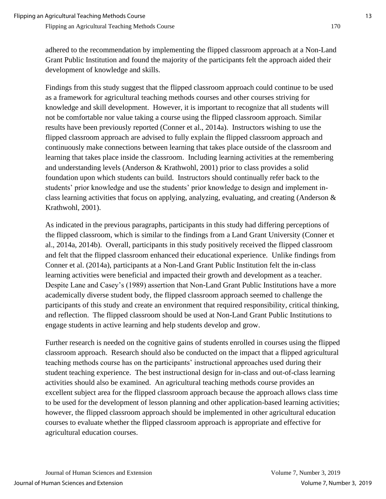adhered to the recommendation by implementing the flipped classroom approach at a Non-Land Grant Public Institution and found the majority of the participants felt the approach aided their development of knowledge and skills.

Findings from this study suggest that the flipped classroom approach could continue to be used as a framework for agricultural teaching methods courses and other courses striving for knowledge and skill development. However, it is important to recognize that all students will not be comfortable nor value taking a course using the flipped classroom approach. Similar results have been previously reported (Conner et al., 2014a). Instructors wishing to use the flipped classroom approach are advised to fully explain the flipped classroom approach and continuously make connections between learning that takes place outside of the classroom and learning that takes place inside the classroom. Including learning activities at the remembering and understanding levels (Anderson & Krathwohl, 2001) prior to class provides a solid foundation upon which students can build. Instructors should continually refer back to the students' prior knowledge and use the students' prior knowledge to design and implement inclass learning activities that focus on applying, analyzing, evaluating, and creating (Anderson & Krathwohl, 2001).

As indicated in the previous paragraphs, participants in this study had differing perceptions of the flipped classroom, which is similar to the findings from a Land Grant University (Conner et al., 2014a, 2014b). Overall, participants in this study positively received the flipped classroom and felt that the flipped classroom enhanced their educational experience. Unlike findings from Conner et al. (2014a), participants at a Non-Land Grant Public Institution felt the in-class learning activities were beneficial and impacted their growth and development as a teacher. Despite Lane and Casey's (1989) assertion that Non-Land Grant Public Institutions have a more academically diverse student body, the flipped classroom approach seemed to challenge the participants of this study and create an environment that required responsibility, critical thinking, and reflection. The flipped classroom should be used at Non-Land Grant Public Institutions to engage students in active learning and help students develop and grow.

Further research is needed on the cognitive gains of students enrolled in courses using the flipped classroom approach. Research should also be conducted on the impact that a flipped agricultural teaching methods course has on the participants' instructional approaches used during their student teaching experience. The best instructional design for in-class and out-of-class learning activities should also be examined. An agricultural teaching methods course provides an excellent subject area for the flipped classroom approach because the approach allows class time to be used for the development of lesson planning and other application-based learning activities; however, the flipped classroom approach should be implemented in other agricultural education courses to evaluate whether the flipped classroom approach is appropriate and effective for agricultural education courses.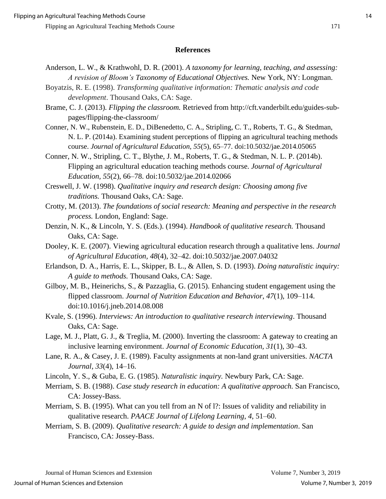#### **References**

- Anderson, L. W., & Krathwohl, D. R. (2001). *A taxonomy for learning, teaching, and assessing: A revision of Bloom's Taxonomy of Educational Objectives.* New York, NY: Longman.
- Boyatzis, R. E. (1998). *Transforming qualitative information: Thematic analysis and code development*. Thousand Oaks, CA: Sage.
- Brame, C. J. (2013). *Flipping the classroom.* Retrieved from http://cft.vanderbilt.edu/guides-subpages/flipping-the-classroom/
- Conner, N. W., Rubenstein, E. D., DiBenedetto, C. A., Stripling, C. T., Roberts, T. G., & Stedman, N. L. P. (2014a). Examining student perceptions of flipping an agricultural teaching methods course. *Journal of Agricultural Education, 55*(5), 65–77. doi:10.5032/jae.2014.05065
- Conner, N. W., Stripling, C. T., Blythe, J. M., Roberts, T. G., & Stedman, N. L. P. (2014b). Flipping an agricultural education teaching methods course. *Journal of Agricultural Education, 55*(2), 66–78. doi:10.5032/jae.2014.02066
- Creswell, J. W. (1998). *Qualitative inquiry and research design: Choosing among five traditions.* Thousand Oaks, CA: Sage.
- Crotty, M. (2013). *The foundations of social research: Meaning and perspective in the research process.* London, England: Sage.
- Denzin, N. K., & Lincoln, Y. S. (Eds.). (1994). *Handbook of qualitative research.* Thousand Oaks, CA: Sage.
- Dooley, K. E. (2007). Viewing agricultural education research through a qualitative lens. *Journal of Agricultural Education, 48*(4), 32–42. doi:10.5032/jae.2007.04032
- Erlandson, D. A., Harris, E. L., Skipper, B. L., & Allen, S. D. (1993). *Doing naturalistic inquiry: A guide to methods.* Thousand Oaks, CA: Sage.
- Gilboy, M. B., Heinerichs, S., & Pazzaglia, G. (2015). Enhancing student engagement using the flipped classroom. *Journal of Nutrition Education and Behavior*, *47*(1), 109–114. doi:10.1016/j.jneb.2014.08.008
- Kvale, S. (1996). *Interviews: An introduction to qualitative research interviewing*. Thousand Oaks, CA: Sage.
- Lage, M. J., Platt, G. J., & Treglia, M. (2000). Inverting the classroom: A gateway to creating an inclusive learning environment. *Journal of Economic Education, 31*(1), 30–43.
- Lane, R. A., & Casey, J. E. (1989). Faculty assignments at non-land grant universities. *NACTA Journal, 33*(4), 14–16.
- Lincoln, Y. S., & Guba, E. G. (1985). *Naturalistic inquiry.* Newbury Park, CA: Sage.
- Merriam, S. B. (1988). *Case study research in education: A qualitative approach.* San Francisco, CA: Jossey-Bass.
- Merriam, S. B. (1995). What can you tell from an N of l?: Issues of validity and reliability in qualitative research. *PAACE Journal of Lifelong Learning*, *4*, 51–60.
- Merriam, S. B. (2009). *Qualitative research: A guide to design and implementation*. San Francisco, CA: Jossey-Bass.